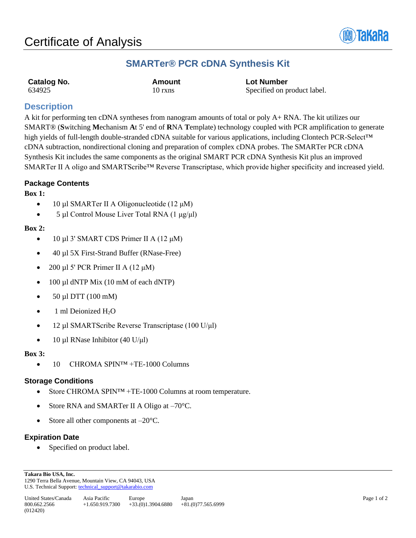

## **SMARTer® PCR cDNA Synthesis Kit**

| Catalog No. | Amount  | <b>Lot Number</b>           |
|-------------|---------|-----------------------------|
| 634925      | 10 rxns | Specified on product label. |

## **Description**

A kit for performing ten cDNA syntheses from nanogram amounts of total or poly A+ RNA. The kit utilizes our SMART® (**S**witching **M**echanism **A**t 5' end of **R**NA **T**emplate) technology coupled with PCR amplification to generate high yields of full-length double-stranded cDNA suitable for various applications, including Clontech PCR-Select™ cDNA subtraction, nondirectional cloning and preparation of complex cDNA probes. The SMARTer PCR cDNA Synthesis Kit includes the same components as the original SMART PCR cDNA Synthesis Kit plus an improved SMARTer II A oligo and SMARTScribe™ Reverse Transcriptase, which provide higher specificity and increased yield.

#### **Package Contents**

#### **Box 1:**

- 10 µl SMARTer II A Oligonucleotide  $(12 \mu M)$
- 5 µl Control Mouse Liver Total RNA (1 μg/μl)

#### **Box 2:**

- 10 µl 3' SMART CDS Primer II A (12 μM)
- 40 µl 5X First-Strand Buffer (RNase-Free)
- 200 µl 5' PCR Primer II A (12 μM)
- 100 µl dNTP Mix (10 mM of each dNTP)
- 50 µl DTT (100 mM)
- 1 ml Deionized H<sub>2</sub>O
- 12 µl SMARTScribe Reverse Transcriptase (100 U/μl)
- 10 µl RNase Inhibitor (40 U/μl)

#### **Box 3:**

• 10 CHROMA SPIN<sup>TM</sup> +TE-1000 Columns

#### **Storage Conditions**

- Store CHROMA SPIN<sup>TM</sup> +TE-1000 Columns at room temperature.
- Store RNA and SMARTer II A Oligo at  $-70^{\circ}$ C.
- Store all other components at  $-20^{\circ}$ C.

### **Expiration Date**

Specified on product label.

**Takara Bio USA, Inc.**  1290 Terra Bella Avenue, Mountain View, CA 94043, USA U.S. Technical Support[: technical\\_support@takarabio.com](mailto:technical_support@takarabio.com)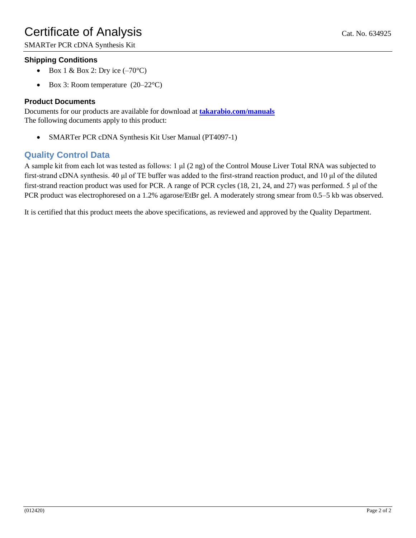SMARTer PCR cDNA Synthesis Kit

## **Shipping Conditions**

- Box 1 & Box 2: Dry ice  $(-70^{\circ}C)$
- Box 3: Room temperature  $(20-22^{\circ}C)$

### **Product Documents**

Documents for our products are available for download at **[takarabio.com/manuals](http://www.takarabio.com/manuals)** The following documents apply to this product:

• SMARTer PCR cDNA Synthesis Kit User Manual (PT4097-1)

## **Quality Control Data**

A sample kit from each lot was tested as follows: 1 μl (2 ng) of the Control Mouse Liver Total RNA was subjected to first-strand cDNA synthesis. 40 μl of TE buffer was added to the first-strand reaction product, and 10 μl of the diluted first-strand reaction product was used for PCR. A range of PCR cycles (18, 21, 24, and 27) was performed. 5 μl of the PCR product was electrophoresed on a 1.2% agarose/EtBr gel. A moderately strong smear from 0.5–5 kb was observed.

It is certified that this product meets the above specifications, as reviewed and approved by the Quality Department.